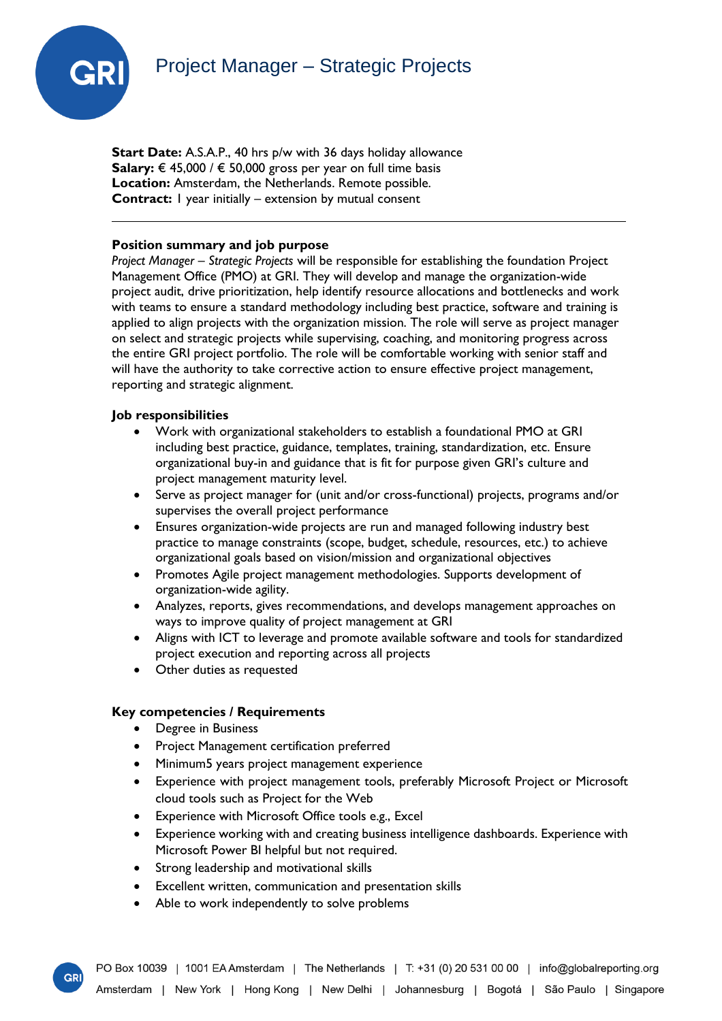# Project Manager – Strategic Projects



**Start Date:** A.S.A.P., 40 hrs p/w with 36 days holiday allowance **Salary:** € 45,000 / € 50,000 gross per year on full time basis **Location:** Amsterdam, the Netherlands. Remote possible. **Contract:** I year initially – extension by mutual consent

### **Position summary and job purpose**

*Project Manager – Strategic Projects* will be responsible for establishing the foundation Project Management Office (PMO) at GRI. They will develop and manage the organization-wide project audit, drive prioritization, help identify resource allocations and bottlenecks and work with teams to ensure a standard methodology including best practice, software and training is applied to align projects with the organization mission. The role will serve as project manager on select and strategic projects while supervising, coaching, and monitoring progress across the entire GRI project portfolio. The role will be comfortable working with senior staff and will have the authority to take corrective action to ensure effective project management, reporting and strategic alignment.

## **Job responsibilities**

- Work with organizational stakeholders to establish a foundational PMO at GRI including best practice, guidance, templates, training, standardization, etc. Ensure organizational buy-in and guidance that is fit for purpose given GRI's culture and project management maturity level.
- Serve as project manager for (unit and/or cross-functional) projects, programs and/or supervises the overall project performance
- Ensures organization-wide projects are run and managed following industry best practice to manage constraints (scope, budget, schedule, resources, etc.) to achieve organizational goals based on vision/mission and organizational objectives
- Promotes Agile project management methodologies. Supports development of organization-wide agility.
- Analyzes, reports, gives recommendations, and develops management approaches on ways to improve quality of project management at GRI
- Aligns with ICT to leverage and promote available software and tools for standardized project execution and reporting across all projects
- Other duties as requested

## **Key competencies / Requirements**

• Degree in Business

 $GP$ 

- Project Management certification preferred
- Minimum5 years project management experience
- Experience with project management tools, preferably Microsoft Project or Microsoft cloud tools such as Project for the Web
- Experience with Microsoft Office tools e.g., Excel
- Experience working with and creating business intelligence dashboards. Experience with Microsoft Power BI helpful but not required.
- Strong leadership and motivational skills
- Excellent written, communication and presentation skills
- Able to work independently to solve problems